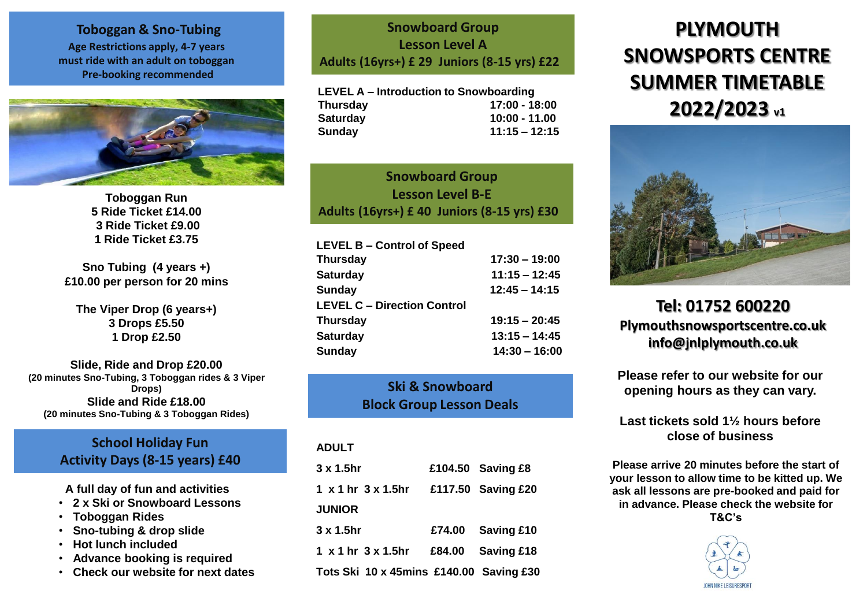**Toboggan & Sno-Tubing Age Restrictions apply, 4-7 years must ride with an adult on toboggan Pre-booking recommended**



**Toboggan Run 5 Ride Ticket £14.00 3 Ride Ticket £9.00 1 Ride Ticket £3.75**

**Sno Tubing (4 years +) £10.00 per person for 20 mins**

**The Viper Drop (6 years+) 3 Drops £5.50 1 Drop £2.50**

**Slide, Ride and Drop £20.00 (20 minutes Sno-Tubing, 3 Toboggan rides & 3 Viper Drops) Slide and Ride £18.00 (20 minutes Sno-Tubing & 3 Toboggan Rides)**

## **School Holiday Fun Activity Days (8-15 years) £40**

**A full day of fun and activities**

- **2 x Ski or Snowboard Lessons**
- **Toboggan Rides**
- **Sno-tubing & drop slide**
- **Hot lunch included**
- **Advance booking is required**
- **Check our website for next dates**

**Snowboard Group Lesson Level A Adults (16yrs+) £ 29 Juniors (8-15 yrs) £22**

**LEVEL A – Introduction to Snowboarding Thursday 17:00 - 18:00 Saturday 10:00 - 11.00 Sunday 11:15 – 12:15**

**Snowboard Group Lesson Level B-E Adults (16yrs+) £ 40 Juniors (8-15 yrs) £30**

| <b>LEVEL B - Control of Speed</b>  |                 |
|------------------------------------|-----------------|
| <b>Thursday</b>                    | $17:30 - 19:00$ |
| <b>Saturday</b>                    | $11:15 - 12:45$ |
| <b>Sunday</b>                      | $12:45 - 14:15$ |
| <b>LEVEL C - Direction Control</b> |                 |
| <b>Thursday</b>                    | $19:15 - 20:45$ |
| <b>Saturday</b>                    | $13:15 - 14:45$ |
| <b>Sunday</b>                      | $14:30 - 16:00$ |

**Ski & Snowboard Block Group Lesson Deals**

#### **ADULT**

| $3 \times 1.5$ hr                       | £104.50 Saving £8  |
|-----------------------------------------|--------------------|
| 1 x 1 hr 3 x 1.5hr                      | £117.50 Saving £20 |
| <b>JUNIOR</b>                           |                    |
| $3 \times 1.5$ hr                       | £74.00 Saving £10  |
| $1 \times 1$ hr $3 \times 1.5$ hr       | £84.00 Saving £18  |
| Tots Ski 10 x 45mins £140.00 Saving £30 |                    |

# **PLYMOUTH SNOWSPORTS CENTRE SUMMER TIMETABLE 2022/2023 v1**



## **Tel: 01752 600220 Plymouthsnowsportscentre.co.uk info@jnlplymouth.co.uk**

**Please refer to our website for our opening hours as they can vary.**

**Last tickets sold 1½ hours before close of business**

**Please arrive 20 minutes before the start of your lesson to allow time to be kitted up. We ask all lessons are pre-booked and paid for in advance. Please check the website for T&C's**